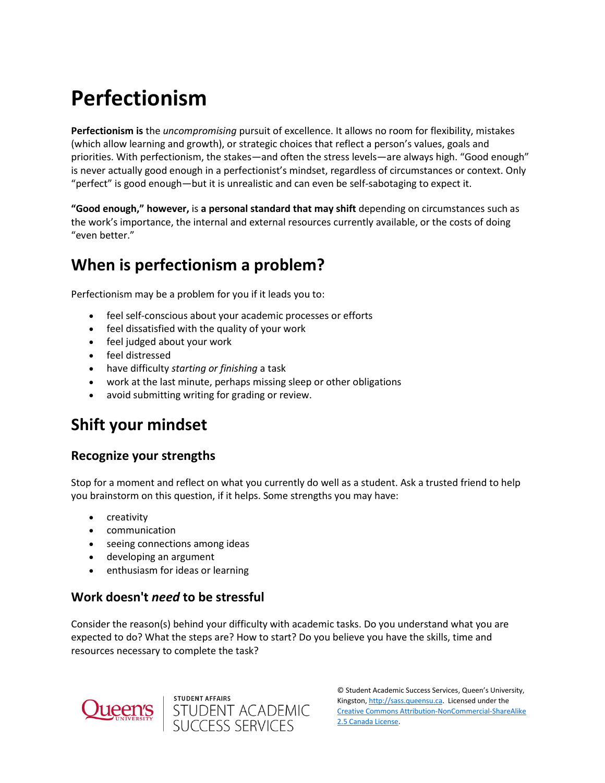# **Perfectionism**

**Perfectionism is** the *uncompromising* pursuit of excellence. It allows no room for flexibility, mistakes (which allow learning and growth), or strategic choices that reflect a person's values, goals and priorities. With perfectionism, the stakes—and often the stress levels—are always high. "Good enough" is never actually good enough in a perfectionist's mindset, regardless of circumstances or context. Only "perfect" is good enough—but it is unrealistic and can even be self-sabotaging to expect it.

**"Good enough," however,** is **a personal standard that may shift** depending on circumstances such as the work's importance, the internal and external resources currently available, or the costs of doing "even better."

### **When is perfectionism a problem?**

Perfectionism may be a problem for you if it leads you to:

- feel self-conscious about your academic processes or efforts
- feel dissatisfied with the quality of your work
- feel judged about your work
- feel distressed
- have difficulty *starting or finishing* a task
- work at the last minute, perhaps missing sleep or other obligations
- avoid submitting writing for grading or review.

### **Shift your mindset**

#### **Recognize your strengths**

Stop for a moment and reflect on what you currently do well as a student. Ask a trusted friend to help you brainstorm on this question, if it helps. Some strengths you may have:

- creativity
- communication
- seeing connections among ideas
- developing an argument
- enthusiasm for ideas or learning

### **Work doesn't** *need* **to be stressful**

Consider the reason(s) behind your difficulty with academic tasks. Do you understand what you are expected to do? What the steps are? How to start? Do you believe you have the skills, time and resources necessary to complete the task?





© Student Academic Success Services, Queen's University, Kingston[, http://sass.queensu.ca.](http://sass.queensu.ca/) Licensed under the [Creative Commons Attribution-NonCommercial-ShareAlike](http://creativecommons.org/licenses/by-nc-sa/2.5/ca/)  [2.5 Canada License.](http://creativecommons.org/licenses/by-nc-sa/2.5/ca/)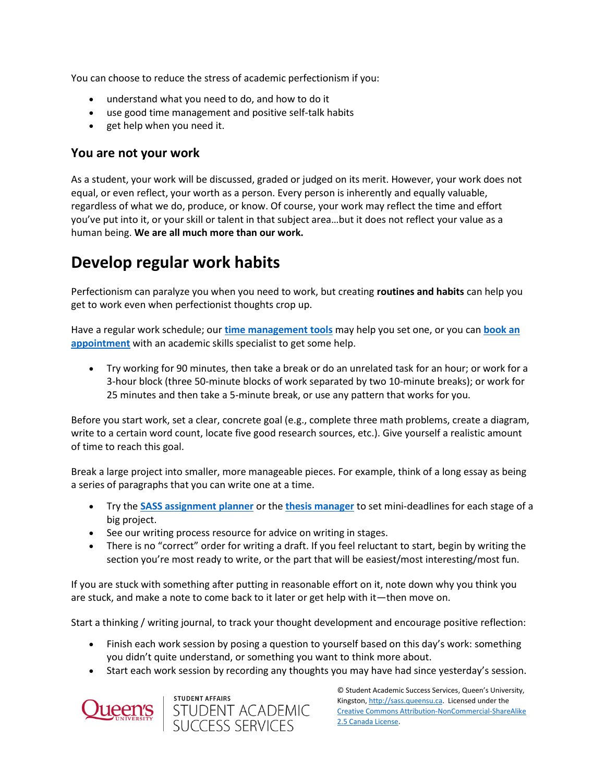You can choose to reduce the stress of academic perfectionism if you:

- understand what you need to do, and how to do it
- use good time management and positive self-talk habits
- get help when you need it.

#### **You are not your work**

As a student, your work will be discussed, graded or judged on its merit. However, your work does not equal, or even reflect, your worth as a person. Every person is inherently and equally valuable, regardless of what we do, produce, or know. Of course, your work may reflect the time and effort you've put into it, or your skill or talent in that subject area…but it does not reflect your value as a human being. **We are all much more than our work.**

### **Develop regular work habits**

Perfectionism can paralyze you when you need to work, but creating **routines and habits** can help you get to work even when perfectionist thoughts crop up.

Have a regular work schedule; our **[time management tools](https://wp3-dev.its.queensu.ca/ha/sasswww/resources/managing-your-time-university)** may help you set one, or you can **[book an](https://wp3-dev.its.queensu.ca/ha/sasswww/academic-support/appointments)  [appointment](https://wp3-dev.its.queensu.ca/ha/sasswww/academic-support/appointments)** with an academic skills specialist to get some help.

 Try working for 90 minutes, then take a break or do an unrelated task for an hour; or work for a 3-hour block (three 50-minute blocks of work separated by two 10-minute breaks); or work for 25 minutes and then take a 5-minute break, or use any pattern that works for you.

Before you start work, set a clear, concrete goal (e.g., complete three math problems, create a diagram, write to a certain word count, locate five good research sources, etc.). Give yourself a realistic amount of time to reach this goal.

Break a large project into smaller, more manageable pieces. For example, think of a long essay as being a series of paragraphs that you can write one at a time.

- Try the **[SASS assignment planner](https://wp3-dev.its.queensu.ca/ha/sasswww/assignments)** or the **[thesis manager](https://www.queensu.ca/sgs/research/thesis-dissertation-showcase)** to set mini-deadlines for each stage of a big project.
- See our writing process resource for advice on writing in stages.
- There is no "correct" order for writing a draft. If you feel reluctant to start, begin by writing the section you're most ready to write, or the part that will be easiest/most interesting/most fun.

If you are stuck with something after putting in reasonable effort on it, note down why you think you are stuck, and make a note to come back to it later or get help with it—then move on.

Start a thinking / writing journal, to track your thought development and encourage positive reflection:

- Finish each work session by posing a question to yourself based on this day's work: something you didn't quite understand, or something you want to think more about.
- Start each work session by recording any thoughts you may have had since yesterday's session.





© Student Academic Success Services, Queen's University, Kingston[, http://sass.queensu.ca.](http://sass.queensu.ca/) Licensed under the [Creative Commons Attribution-NonCommercial-ShareAlike](http://creativecommons.org/licenses/by-nc-sa/2.5/ca/)  [2.5 Canada License.](http://creativecommons.org/licenses/by-nc-sa/2.5/ca/)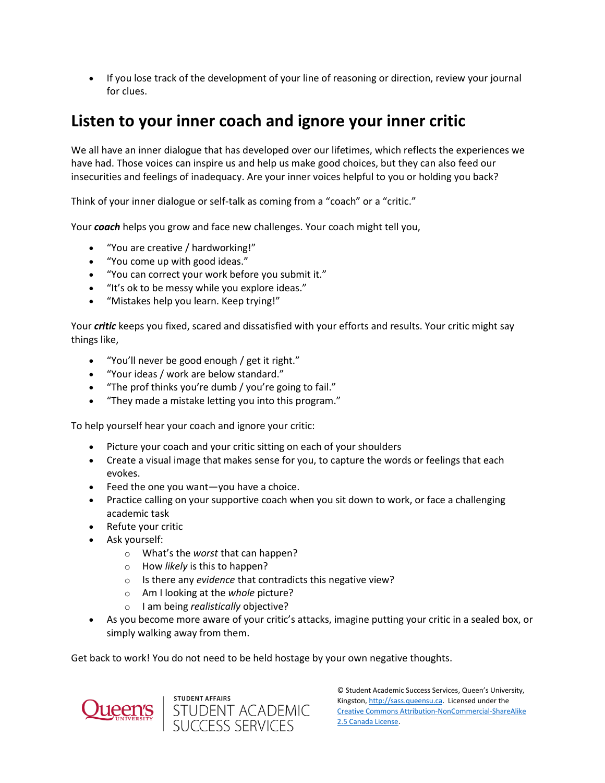• If you lose track of the development of your line of reasoning or direction, review your journal for clues.

### **Listen to your inner coach and ignore your inner critic**

We all have an inner dialogue that has developed over our lifetimes, which reflects the experiences we have had. Those voices can inspire us and help us make good choices, but they can also feed our insecurities and feelings of inadequacy. Are your inner voices helpful to you or holding you back?

Think of your inner dialogue or self-talk as coming from a "coach" or a "critic."

Your *coach* helps you grow and face new challenges. Your coach might tell you,

- "You are creative / hardworking!"
- "You come up with good ideas."
- "You can correct your work before you submit it."
- "It's ok to be messy while you explore ideas."
- "Mistakes help you learn. Keep trying!"

Your *critic* keeps you fixed, scared and dissatisfied with your efforts and results. Your critic might say things like,

- "You'll never be good enough / get it right."
- "Your ideas / work are below standard."
- "The prof thinks you're dumb / you're going to fail."
- "They made a mistake letting you into this program."

To help yourself hear your coach and ignore your critic:

- Picture your coach and your critic sitting on each of your shoulders
- Create a visual image that makes sense for you, to capture the words or feelings that each evokes.
- Feed the one you want—you have a choice.
- Practice calling on your supportive coach when you sit down to work, or face a challenging academic task
- Refute your critic
- Ask yourself:
	- o What's the *worst* that can happen?
	- o How *likely* is this to happen?
	- o Is there any *evidence* that contradicts this negative view?
	- o Am I looking at the *whole* picture?
	- o I am being *realistically* objective?
- As you become more aware of your critic's attacks, imagine putting your critic in a sealed box, or simply walking away from them.

Get back to work! You do not need to be held hostage by your own negative thoughts.





© Student Academic Success Services, Queen's University, Kingston[, http://sass.queensu.ca.](http://sass.queensu.ca/) Licensed under the [Creative Commons Attribution-NonCommercial-ShareAlike](http://creativecommons.org/licenses/by-nc-sa/2.5/ca/)  [2.5 Canada License.](http://creativecommons.org/licenses/by-nc-sa/2.5/ca/)